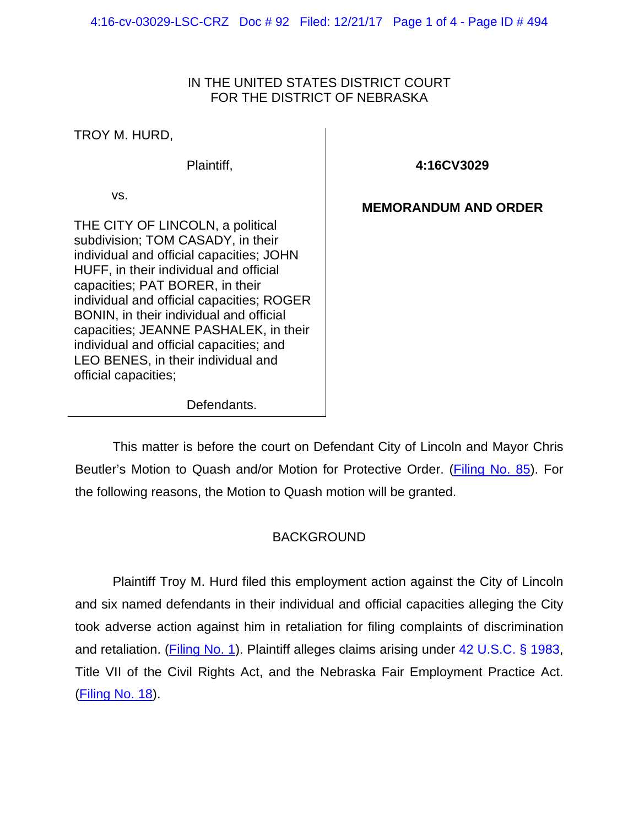#### IN THE UNITED STATES DISTRICT COURT FOR THE DISTRICT OF NEBRASKA

TROY M. HURD,

Plaintiff,

vs.

**4:16CV3029**

### **MEMORANDUM AND ORDER**

THE CITY OF LINCOLN, a political subdivision; TOM CASADY, in their individual and official capacities; JOHN HUFF, in their individual and official capacities; PAT BORER, in their individual and official capacities; ROGER BONIN, in their individual and official capacities; JEANNE PASHALEK, in their individual and official capacities; and LEO BENES, in their individual and official capacities;

Defendants.

This matter is before the court on Defendant City of Lincoln and Mayor Chris Beutler's Motion to Quash and/or Motion for Protective Order. (*Filing No. 85*). For the following reasons, the Motion to Quash motion will be granted.

# BACKGROUND

Plaintiff Troy M. Hurd filed this employment action against the City of Lincoln and six named defendants in their individual and official capacities alleging the City took adverse action against him in retaliation for filing complaints of discrimination and retaliation. (Filing [No. 1\)](https://ecf.ned.uscourts.gov/doc1/11313475356). Plaintiff alleges claims arising under [42 U.S.C. § 1983,](https://www.westlaw.com/Document/NDFE80F60AFF711D8803AE0632FEDDFBF/View/FullText.html?transitionType=Default&contextData=(sc.Default)&VR=3.0&RS=da3.0) Title VII of the Civil Rights Act, and the Nebraska Fair Employment Practice Act. [\(Filing No. 18\)](https://ecf.ned.uscourts.gov/doc1/11313558374).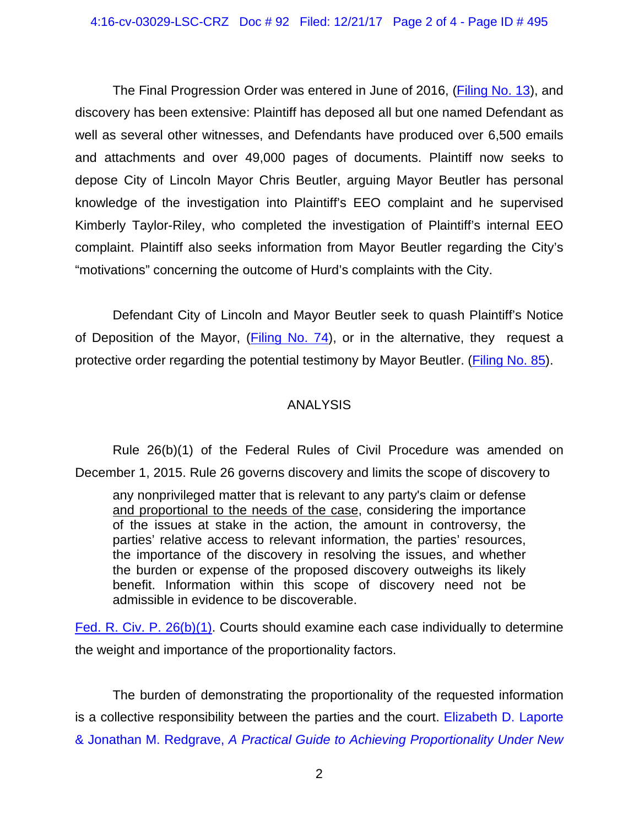The Final Progression Order was entered in June of 2016, [\(Filing No. 13\)](https://ecf.ned.uscourts.gov/doc1/11313553405), and discovery has been extensive: Plaintiff has deposed all but one named Defendant as well as several other witnesses, and Defendants have produced over 6,500 emails and attachments and over 49,000 pages of documents. Plaintiff now seeks to depose City of Lincoln Mayor Chris Beutler, arguing Mayor Beutler has personal knowledge of the investigation into Plaintiff's EEO complaint and he supervised Kimberly Taylor-Riley, who completed the investigation of Plaintiff's internal EEO complaint. Plaintiff also seeks information from Mayor Beutler regarding the City's "motivations" concerning the outcome of Hurd's complaints with the City.

Defendant City of Lincoln and Mayor Beutler seek to quash Plaintiff's Notice of Deposition of the Mayor, [\(Filing No. 74\)](https://ecf.ned.uscourts.gov/doc1/11313883421), or in the alternative, they request a protective order regarding the potential testimony by Mayor Beutler. [\(Filing No. 85\)](https://ecf.ned.uscourts.gov/doc1/11313891426).

# ANALYSIS

Rule 26(b)(1) of the Federal Rules of Civil Procedure was amended on December 1, 2015. Rule 26 governs discovery and limits the scope of discovery to

any nonprivileged matter that is relevant to any party's claim or defense and proportional to the needs of the case, considering the importance of the issues at stake in the action, the amount in controversy, the parties' relative access to relevant information, the parties' resources, the importance of the discovery in resolving the issues, and whether the burden or expense of the proposed discovery outweighs its likely benefit. Information within this scope of discovery need not be admissible in evidence to be discoverable.

[Fed. R. Civ. P. 26\(b\)\(1\).](https://www.westlaw.com/Document/NCBF83860B96411D8983DF34406B5929B/View/FullText.html?transitionType=Default&contextData=(sc.Default)&VR=3.0&RS=da3.0) Courts should examine each case individually to determine the weight and importance of the proportionality factors.

The burden of demonstrating the proportionality of the requested information is a collective responsibility between the parties and the court. [Elizabeth D. Laporte](https://www.westlaw.com/Document/NCBF83860B96411D8983DF34406B5929B/View/FullText.html?transitionType=Default&contextData=(sc.Default)&VR=3.0&RS=da3.0)  & Jonathan M. Redgrave, *[A Practical Guide to Achieving Proportionality Under New](https://www.westlaw.com/Document/NCBF83860B96411D8983DF34406B5929B/View/FullText.html?transitionType=Default&contextData=(sc.Default)&VR=3.0&RS=da3.0)*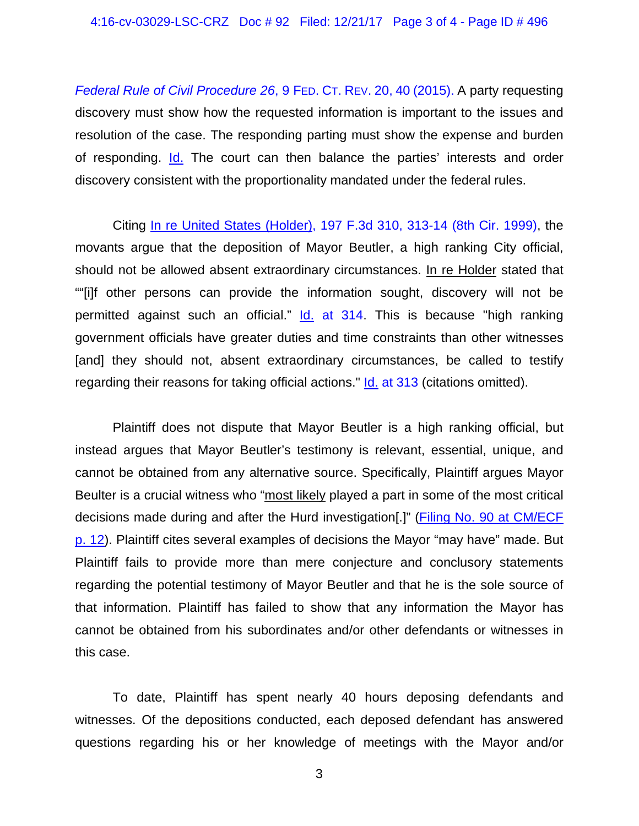*[Federal Rule of Civil Procedure 26](https://www.westlaw.com/Document/NCBF83860B96411D8983DF34406B5929B/View/FullText.html?transitionType=Default&contextData=(sc.Default)&VR=3.0&RS=da3.0)*, 9 FED. CT. REV. 20, 40 (2015). A party requesting discovery must show how the requested information is important to the issues and resolution of the case. The responding parting must show the expense and burden of responding. [Id.](https://www.google.com/url?sa=t&rct=j&q=&esrc=s&source=web&cd=1&cad=rja&uact=8&ved=0ahUKEwiep47tsaXLAhXMKB4KHZzDBJAQFggdMAA&url=http%3A%2F%2Fwww.fclr.org%2Ffclr%2Farticles%2Fpdf%2FLaporte-Redgrave_Final_Publication_Vol9Issue2.pdf&usg=AFQjCNHbwHLmXf81W0oiFiakrh3ZYDaLqw) The court can then balance the parties' interests and order discovery consistent with the proportionality mandated under the federal rules.

Citing [In re United States \(Holder\), 197 F.3d 310, 313-14 \(8th Cir. 1999\),](https://www.westlaw.com/Document/I44fa42e294ba11d9bc61beebb95be672/View/FullText.html?transitionType=Default&contextData=(sc.Default)&VR=3.0&RS=da3.0&fragmentIdentifier=co_pp_sp_506_313) the movants argue that the deposition of Mayor Beutler, a high ranking City official, should not be allowed absent extraordinary circumstances. In re Holder stated that ""[i]f other persons can provide the information sought, discovery will not be permitted against such an official." Id. [at 314.](https://www.westlaw.com/Document/I44fa42e294ba11d9bc61beebb95be672/View/FullText.html?transitionType=Default&contextData=(sc.Default)&VR=3.0&RS=da3.0&fragmentIdentifier=co_pp_sp_506_314) This is because "high ranking government officials have greater duties and time constraints than other witnesses [and] they should not, absent extraordinary circumstances, be called to testify regarding their reasons for taking official actions." **Id.** [at 313](https://www.westlaw.com/Document/I44fa42e294ba11d9bc61beebb95be672/View/FullText.html?transitionType=Default&contextData=(sc.Default)&VR=3.0&RS=da3.0&fragmentIdentifier=co_pp_sp_506_313) (citations omitted).

Plaintiff does not dispute that Mayor Beutler is a high ranking official, but instead argues that Mayor Beutler's testimony is relevant, essential, unique, and cannot be obtained from any alternative source. Specifically, Plaintiff argues Mayor Beulter is a crucial witness who "most likely played a part in some of the most critical decisions made during and after the Hurd investigation[.]" [\(Filing No. 90 at CM/ECF](https://ecf.ned.uscourts.gov/doc1/11313897055?page=12)  [p. 12\)](https://ecf.ned.uscourts.gov/doc1/11313897055?page=12). Plaintiff cites several examples of decisions the Mayor "may have" made. But Plaintiff fails to provide more than mere conjecture and conclusory statements regarding the potential testimony of Mayor Beutler and that he is the sole source of that information. Plaintiff has failed to show that any information the Mayor has cannot be obtained from his subordinates and/or other defendants or witnesses in this case.

To date, Plaintiff has spent nearly 40 hours deposing defendants and witnesses. Of the depositions conducted, each deposed defendant has answered questions regarding his or her knowledge of meetings with the Mayor and/or

3